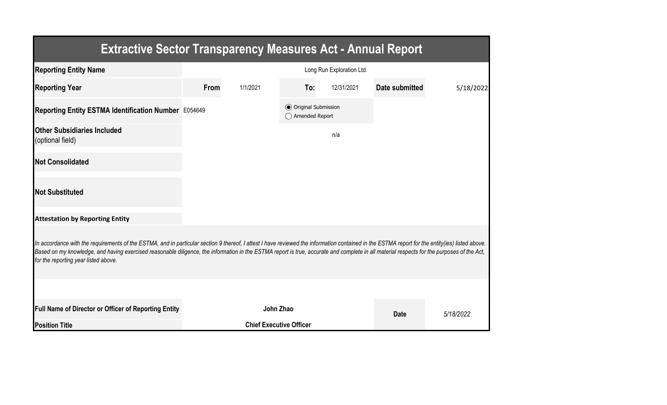| <b>Extractive Sector Transparency Measures Act - Annual Report</b>                                                                                                                                                                                                                                                                                                                                                                    |                           |                                |                                                  |            |                |           |  |  |  |  |
|---------------------------------------------------------------------------------------------------------------------------------------------------------------------------------------------------------------------------------------------------------------------------------------------------------------------------------------------------------------------------------------------------------------------------------------|---------------------------|--------------------------------|--------------------------------------------------|------------|----------------|-----------|--|--|--|--|
| <b>Reporting Entity Name</b>                                                                                                                                                                                                                                                                                                                                                                                                          | Long Run Exploration Ltd. |                                |                                                  |            |                |           |  |  |  |  |
| <b>Reporting Year</b>                                                                                                                                                                                                                                                                                                                                                                                                                 | From                      | 1/1/2021                       | To:                                              | 12/31/2021 | Date submitted | 5/18/2022 |  |  |  |  |
| Reporting Entity ESTMA Identification Number E054649                                                                                                                                                                                                                                                                                                                                                                                  |                           |                                | <b>◎</b> Original Submission<br>◯ Amended Report |            |                |           |  |  |  |  |
| <b>Other Subsidiaries Included</b><br>(optional field)                                                                                                                                                                                                                                                                                                                                                                                |                           |                                |                                                  | n/a        |                |           |  |  |  |  |
| <b>Not Consolidated</b>                                                                                                                                                                                                                                                                                                                                                                                                               |                           |                                |                                                  |            |                |           |  |  |  |  |
| <b>Not Substituted</b>                                                                                                                                                                                                                                                                                                                                                                                                                |                           |                                |                                                  |            |                |           |  |  |  |  |
| <b>Attestation by Reporting Entity</b>                                                                                                                                                                                                                                                                                                                                                                                                |                           |                                |                                                  |            |                |           |  |  |  |  |
| In accordance with the requirements of the ESTMA, and in particular section 9 thereof, I attest I have reviewed the information contained in the ESTMA report for the entity(ies) listed above.<br>Based on my knowledge, and having exercised reasonable diligence, the information in the ESTMA report is true, accurate and complete in all material respects for the purposes of the Act,<br>for the reporting year listed above. |                           |                                |                                                  |            |                |           |  |  |  |  |
|                                                                                                                                                                                                                                                                                                                                                                                                                                       |                           |                                |                                                  |            |                |           |  |  |  |  |
| <b>Full Name of Director or Officer of Reporting Entity</b>                                                                                                                                                                                                                                                                                                                                                                           |                           | John Zhao                      |                                                  |            | <b>Date</b>    | 5/18/2022 |  |  |  |  |
| <b>Position Title</b>                                                                                                                                                                                                                                                                                                                                                                                                                 |                           | <b>Chief Executive Officer</b> |                                                  |            |                |           |  |  |  |  |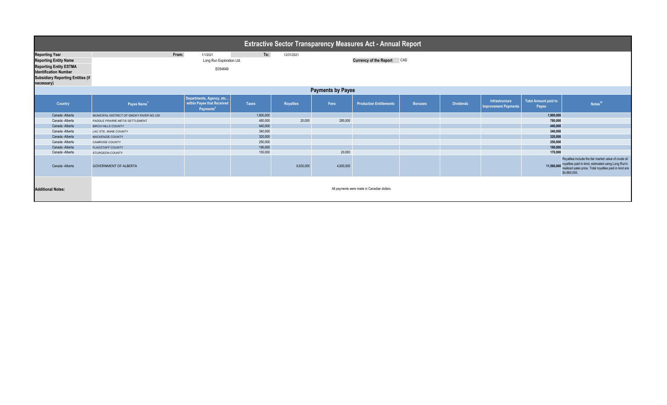| <b>Extractive Sector Transparency Measures Act - Annual Report</b>                                                                                                               |                                                                                                              |                                                                                 |              |                  |           |                                |                |                  |                                               |                                      |                                                                                                                                                                                                |  |
|----------------------------------------------------------------------------------------------------------------------------------------------------------------------------------|--------------------------------------------------------------------------------------------------------------|---------------------------------------------------------------------------------|--------------|------------------|-----------|--------------------------------|----------------|------------------|-----------------------------------------------|--------------------------------------|------------------------------------------------------------------------------------------------------------------------------------------------------------------------------------------------|--|
| <b>Reporting Year</b><br><b>Reporting Entity Name</b><br><b>Reporting Entity ESTMA</b><br><b>Identification Number</b><br><b>Subsidiary Reporting Entities (if</b><br>necessary) | To:<br>From:<br>1/1/2021<br>12/31/2021<br>Long Run Exploration Ltd.<br>Currency of the Report CAD<br>E054649 |                                                                                 |              |                  |           |                                |                |                  |                                               |                                      |                                                                                                                                                                                                |  |
| <b>Payments by Payee</b>                                                                                                                                                         |                                                                                                              |                                                                                 |              |                  |           |                                |                |                  |                                               |                                      |                                                                                                                                                                                                |  |
| Country                                                                                                                                                                          | Payee Name <sup>1</sup>                                                                                      | Departments, Agency, etc<br>within Payee that Received<br>Payments <sup>2</sup> | <b>Taxes</b> | <b>Royalties</b> | Fees      | <b>Production Entitlements</b> | <b>Bonuses</b> | <b>Dividends</b> | Infrastructure<br><b>Improvement Payments</b> | <b>Total Amount paid to</b><br>Payee | Notes <sup>34</sup>                                                                                                                                                                            |  |
| Canada - Alberta                                                                                                                                                                 | MUNICIPAL DISTRICT OF SMOKY RIVER NO.130                                                                     |                                                                                 | 1,900,000    |                  |           |                                |                |                  |                                               | 1,900,000                            |                                                                                                                                                                                                |  |
| Canada -Alberta                                                                                                                                                                  | PADDLE PRAIRIE METIS SETTLEMENT                                                                              |                                                                                 | 480,000      | 20,000           | 280,000   |                                |                |                  |                                               | 780,000                              |                                                                                                                                                                                                |  |
| Canada - Alberta                                                                                                                                                                 | <b>BIRCH HILLS COUNTY</b>                                                                                    |                                                                                 | 440,000      |                  |           |                                |                |                  |                                               |                                      | 440,000                                                                                                                                                                                        |  |
| Canada - Alberta                                                                                                                                                                 | LAC STE. ANNE COUNTY                                                                                         |                                                                                 | 340,000      |                  |           |                                |                |                  |                                               |                                      | 340,000                                                                                                                                                                                        |  |
| Canada - Alberta                                                                                                                                                                 | MACKENZIE COUNTY                                                                                             |                                                                                 | 320,000      |                  |           |                                |                |                  |                                               | 320,000                              |                                                                                                                                                                                                |  |
| Canada - Alberta                                                                                                                                                                 | <b>CAMROSE COUNTY</b>                                                                                        |                                                                                 | 250,000      |                  |           |                                |                |                  |                                               | 250,000                              |                                                                                                                                                                                                |  |
| Canada - Alberta                                                                                                                                                                 | <b>FLAGSTAFF COUNTY</b>                                                                                      |                                                                                 | 190,000      |                  |           |                                |                |                  |                                               | 190,000                              |                                                                                                                                                                                                |  |
| Canada - Alberta                                                                                                                                                                 | STURGEON COUNTY                                                                                              |                                                                                 | 150,000      |                  | 20,000    |                                |                |                  |                                               | 170,000                              |                                                                                                                                                                                                |  |
| Canada -Alberta                                                                                                                                                                  | <b>GOVERNMENT OF ALBERTA</b>                                                                                 |                                                                                 |              | 6,630,000        | 4,930,000 |                                |                |                  |                                               |                                      | Royalties include the fair market value of crude oil<br>11,560,000 royalties paid in-kind, estimated using Long Run's<br>realized sales price. Total royalties paid in kind are<br>\$4,860,000 |  |
| <b>Additional Notes:</b>                                                                                                                                                         | All payments were made in Canadian dollars.                                                                  |                                                                                 |              |                  |           |                                |                |                  |                                               |                                      |                                                                                                                                                                                                |  |